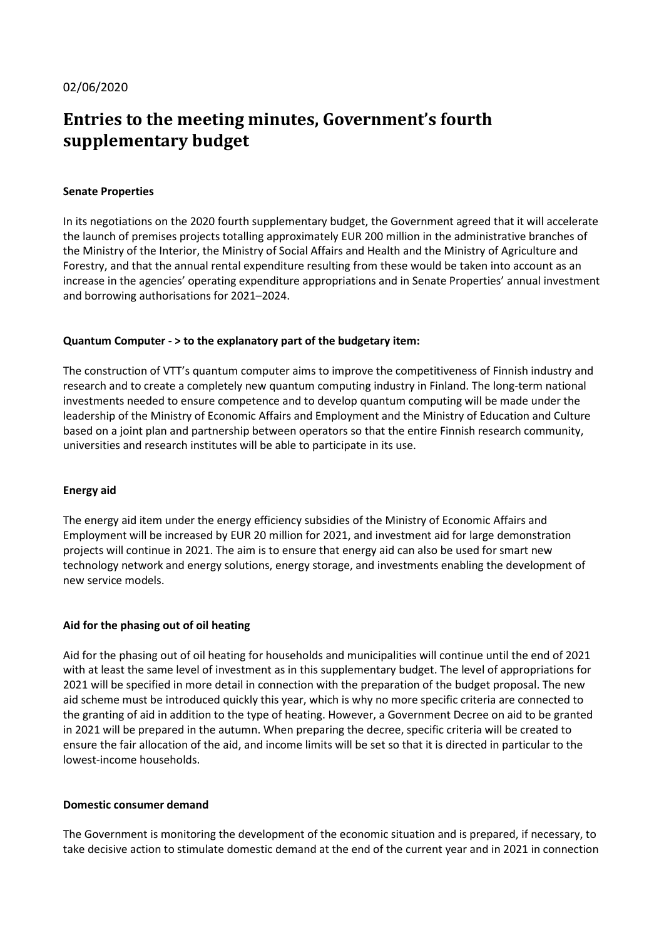# Entries to the meeting minutes, Government's fourth supplementary budget

## Senate Properties

In its negotiations on the 2020 fourth supplementary budget, the Government agreed that it will accelerate the launch of premises projects totalling approximately EUR 200 million in the administrative branches of the Ministry of the Interior, the Ministry of Social Affairs and Health and the Ministry of Agriculture and Forestry, and that the annual rental expenditure resulting from these would be taken into account as an increase in the agencies' operating expenditure appropriations and in Senate Properties' annual investment and borrowing authorisations for 2021–2024.

## Quantum Computer - > to the explanatory part of the budgetary item:

The construction of VTT's quantum computer aims to improve the competitiveness of Finnish industry and research and to create a completely new quantum computing industry in Finland. The long-term national investments needed to ensure competence and to develop quantum computing will be made under the leadership of the Ministry of Economic Affairs and Employment and the Ministry of Education and Culture based on a joint plan and partnership between operators so that the entire Finnish research community, universities and research institutes will be able to participate in its use.

#### Energy aid

The energy aid item under the energy efficiency subsidies of the Ministry of Economic Affairs and Employment will be increased by EUR 20 million for 2021, and investment aid for large demonstration projects will continue in 2021. The aim is to ensure that energy aid can also be used for smart new technology network and energy solutions, energy storage, and investments enabling the development of new service models.

# Aid for the phasing out of oil heating

Aid for the phasing out of oil heating for households and municipalities will continue until the end of 2021 with at least the same level of investment as in this supplementary budget. The level of appropriations for 2021 will be specified in more detail in connection with the preparation of the budget proposal. The new aid scheme must be introduced quickly this year, which is why no more specific criteria are connected to the granting of aid in addition to the type of heating. However, a Government Decree on aid to be granted in 2021 will be prepared in the autumn. When preparing the decree, specific criteria will be created to ensure the fair allocation of the aid, and income limits will be set so that it is directed in particular to the lowest-income households.

#### Domestic consumer demand

The Government is monitoring the development of the economic situation and is prepared, if necessary, to take decisive action to stimulate domestic demand at the end of the current year and in 2021 in connection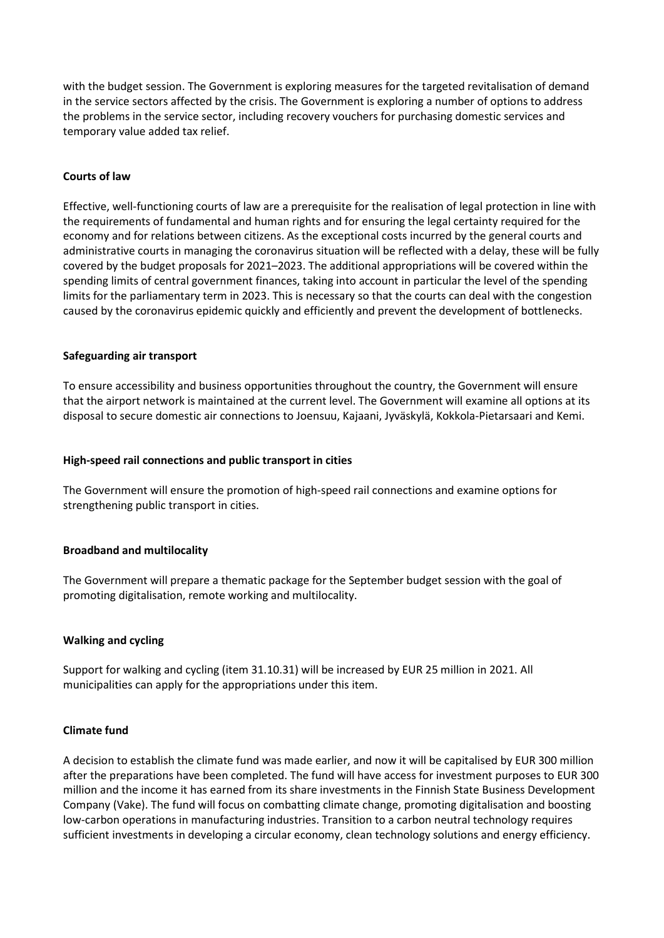with the budget session. The Government is exploring measures for the targeted revitalisation of demand in the service sectors affected by the crisis. The Government is exploring a number of options to address the problems in the service sector, including recovery vouchers for purchasing domestic services and temporary value added tax relief.

## Courts of law

Effective, well-functioning courts of law are a prerequisite for the realisation of legal protection in line with the requirements of fundamental and human rights and for ensuring the legal certainty required for the economy and for relations between citizens. As the exceptional costs incurred by the general courts and administrative courts in managing the coronavirus situation will be reflected with a delay, these will be fully covered by the budget proposals for 2021–2023. The additional appropriations will be covered within the spending limits of central government finances, taking into account in particular the level of the spending limits for the parliamentary term in 2023. This is necessary so that the courts can deal with the congestion caused by the coronavirus epidemic quickly and efficiently and prevent the development of bottlenecks.

#### Safeguarding air transport

To ensure accessibility and business opportunities throughout the country, the Government will ensure that the airport network is maintained at the current level. The Government will examine all options at its disposal to secure domestic air connections to Joensuu, Kajaani, Jyväskylä, Kokkola-Pietarsaari and Kemi.

#### High-speed rail connections and public transport in cities

The Government will ensure the promotion of high-speed rail connections and examine options for strengthening public transport in cities.

#### Broadband and multilocality

The Government will prepare a thematic package for the September budget session with the goal of promoting digitalisation, remote working and multilocality.

#### Walking and cycling

Support for walking and cycling (item 31.10.31) will be increased by EUR 25 million in 2021. All municipalities can apply for the appropriations under this item.

#### Climate fund

A decision to establish the climate fund was made earlier, and now it will be capitalised by EUR 300 million after the preparations have been completed. The fund will have access for investment purposes to EUR 300 million and the income it has earned from its share investments in the Finnish State Business Development Company (Vake). The fund will focus on combatting climate change, promoting digitalisation and boosting low-carbon operations in manufacturing industries. Transition to a carbon neutral technology requires sufficient investments in developing a circular economy, clean technology solutions and energy efficiency.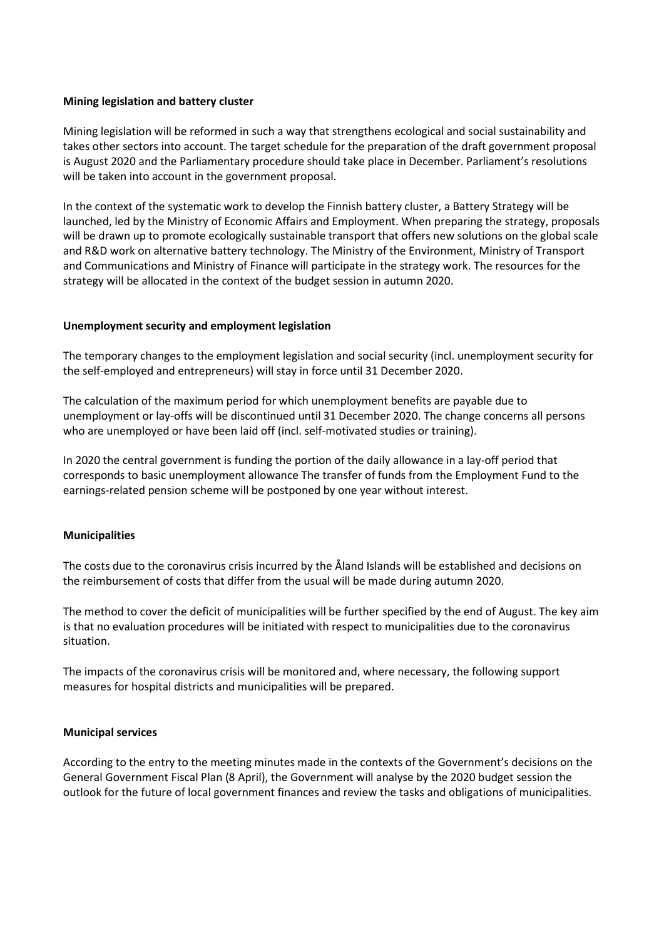#### Mining legislation and battery cluster

Mining legislation will be reformed in such a way that strengthens ecological and social sustainability and takes other sectors into account. The target schedule for the preparation of the draft government proposal is August 2020 and the Parliamentary procedure should take place in December. Parliament's resolutions will be taken into account in the government proposal.

In the context of the systematic work to develop the Finnish battery cluster, a Battery Strategy will be launched, led by the Ministry of Economic Affairs and Employment. When preparing the strategy, proposals will be drawn up to promote ecologically sustainable transport that offers new solutions on the global scale and R&D work on alternative battery technology. The Ministry of the Environment, Ministry of Transport and Communications and Ministry of Finance will participate in the strategy work. The resources for the strategy will be allocated in the context of the budget session in autumn 2020.

#### Unemployment security and employment legislation

The temporary changes to the employment legislation and social security (incl. unemployment security for the self-employed and entrepreneurs) will stay in force until 31 December 2020.

The calculation of the maximum period for which unemployment benefits are payable due to unemployment or lay-offs will be discontinued until 31 December 2020. The change concerns all persons who are unemployed or have been laid off (incl. self-motivated studies or training).

In 2020 the central government is funding the portion of the daily allowance in a lay-off period that corresponds to basic unemployment allowance The transfer of funds from the Employment Fund to the earnings-related pension scheme will be postponed by one year without interest.

#### Municipalities

The costs due to the coronavirus crisis incurred by the Åland Islands will be established and decisions on the reimbursement of costs that differ from the usual will be made during autumn 2020.

The method to cover the deficit of municipalities will be further specified by the end of August. The key aim is that no evaluation procedures will be initiated with respect to municipalities due to the coronavirus situation.

The impacts of the coronavirus crisis will be monitored and, where necessary, the following support measures for hospital districts and municipalities will be prepared.

#### Municipal services

According to the entry to the meeting minutes made in the contexts of the Government's decisions on the General Government Fiscal Plan (8 April), the Government will analyse by the 2020 budget session the outlook for the future of local government finances and review the tasks and obligations of municipalities.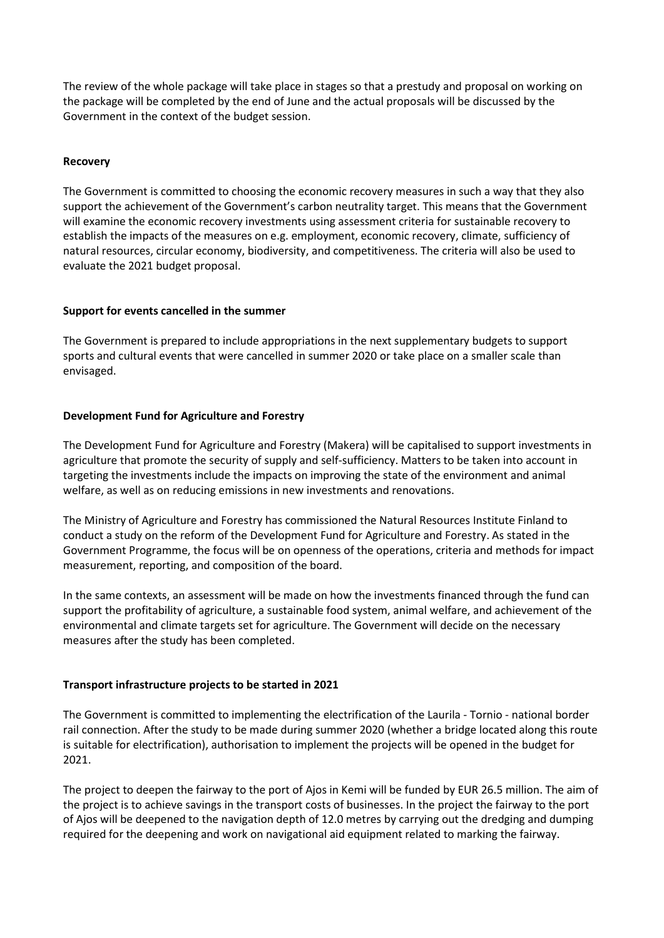The review of the whole package will take place in stages so that a prestudy and proposal on working on the package will be completed by the end of June and the actual proposals will be discussed by the Government in the context of the budget session.

## Recovery

The Government is committed to choosing the economic recovery measures in such a way that they also support the achievement of the Government's carbon neutrality target. This means that the Government will examine the economic recovery investments using assessment criteria for sustainable recovery to establish the impacts of the measures on e.g. employment, economic recovery, climate, sufficiency of natural resources, circular economy, biodiversity, and competitiveness. The criteria will also be used to evaluate the 2021 budget proposal.

## Support for events cancelled in the summer

The Government is prepared to include appropriations in the next supplementary budgets to support sports and cultural events that were cancelled in summer 2020 or take place on a smaller scale than envisaged.

## Development Fund for Agriculture and Forestry

The Development Fund for Agriculture and Forestry (Makera) will be capitalised to support investments in agriculture that promote the security of supply and self-sufficiency. Matters to be taken into account in targeting the investments include the impacts on improving the state of the environment and animal welfare, as well as on reducing emissions in new investments and renovations.

The Ministry of Agriculture and Forestry has commissioned the Natural Resources Institute Finland to conduct a study on the reform of the Development Fund for Agriculture and Forestry. As stated in the Government Programme, the focus will be on openness of the operations, criteria and methods for impact measurement, reporting, and composition of the board.

In the same contexts, an assessment will be made on how the investments financed through the fund can support the profitability of agriculture, a sustainable food system, animal welfare, and achievement of the environmental and climate targets set for agriculture. The Government will decide on the necessary measures after the study has been completed.

# Transport infrastructure projects to be started in 2021

The Government is committed to implementing the electrification of the Laurila - Tornio - national border rail connection. After the study to be made during summer 2020 (whether a bridge located along this route is suitable for electrification), authorisation to implement the projects will be opened in the budget for 2021.

The project to deepen the fairway to the port of Ajos in Kemi will be funded by EUR 26.5 million. The aim of the project is to achieve savings in the transport costs of businesses. In the project the fairway to the port of Ajos will be deepened to the navigation depth of 12.0 metres by carrying out the dredging and dumping required for the deepening and work on navigational aid equipment related to marking the fairway.